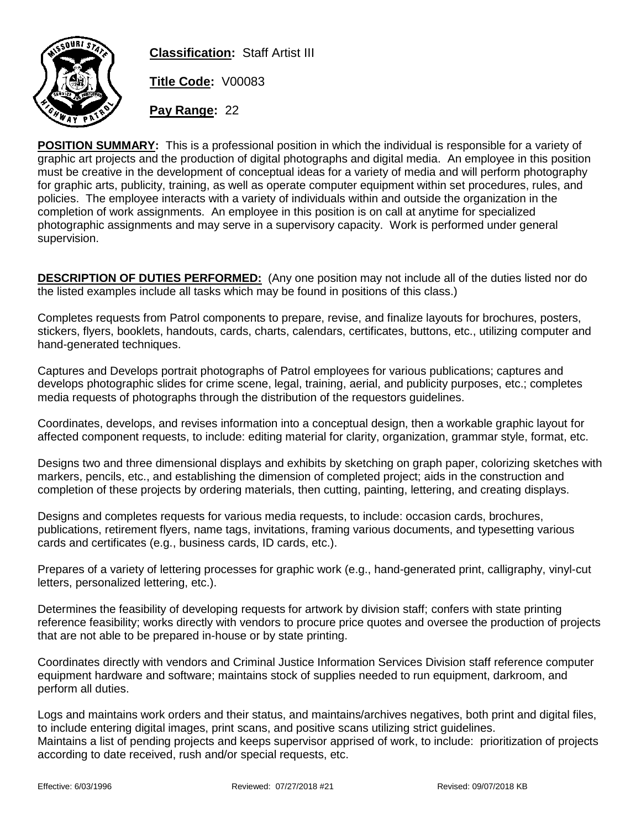

**Classification:** Staff Artist III **Title Code:** V00083

**Pay Range:** 22

**POSITION SUMMARY:** This is a professional position in which the individual is responsible for a variety of graphic art projects and the production of digital photographs and digital media. An employee in this position must be creative in the development of conceptual ideas for a variety of media and will perform photography for graphic arts, publicity, training, as well as operate computer equipment within set procedures, rules, and policies. The employee interacts with a variety of individuals within and outside the organization in the completion of work assignments. An employee in this position is on call at anytime for specialized photographic assignments and may serve in a supervisory capacity. Work is performed under general supervision.

**DESCRIPTION OF DUTIES PERFORMED:** (Any one position may not include all of the duties listed nor do the listed examples include all tasks which may be found in positions of this class.)

Completes requests from Patrol components to prepare, revise, and finalize layouts for brochures, posters, stickers, flyers, booklets, handouts, cards, charts, calendars, certificates, buttons, etc., utilizing computer and hand-generated techniques.

Captures and Develops portrait photographs of Patrol employees for various publications; captures and develops photographic slides for crime scene, legal, training, aerial, and publicity purposes, etc.; completes media requests of photographs through the distribution of the requestors guidelines.

Coordinates, develops, and revises information into a conceptual design, then a workable graphic layout for affected component requests, to include: editing material for clarity, organization, grammar style, format, etc.

Designs two and three dimensional displays and exhibits by sketching on graph paper, colorizing sketches with markers, pencils, etc., and establishing the dimension of completed project; aids in the construction and completion of these projects by ordering materials, then cutting, painting, lettering, and creating displays.

Designs and completes requests for various media requests, to include: occasion cards, brochures, publications, retirement flyers, name tags, invitations, framing various documents, and typesetting various cards and certificates (e.g., business cards, ID cards, etc.).

Prepares of a variety of lettering processes for graphic work (e.g., hand-generated print, calligraphy, vinyl-cut letters, personalized lettering, etc.).

Determines the feasibility of developing requests for artwork by division staff; confers with state printing reference feasibility; works directly with vendors to procure price quotes and oversee the production of projects that are not able to be prepared in-house or by state printing.

Coordinates directly with vendors and Criminal Justice Information Services Division staff reference computer equipment hardware and software; maintains stock of supplies needed to run equipment, darkroom, and perform all duties.

Logs and maintains work orders and their status, and maintains/archives negatives, both print and digital files, to include entering digital images, print scans, and positive scans utilizing strict guidelines. Maintains a list of pending projects and keeps supervisor apprised of work, to include: prioritization of projects according to date received, rush and/or special requests, etc.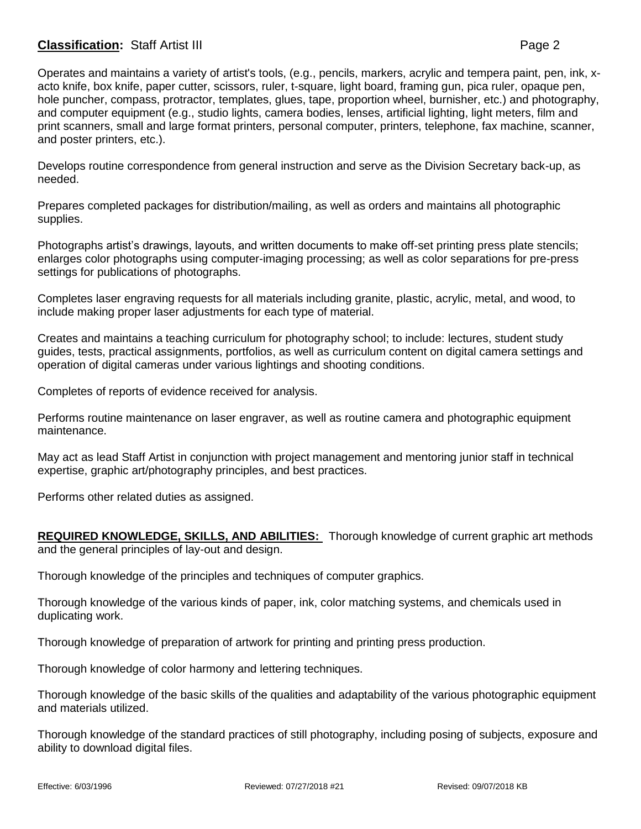## **Classification:** Staff Artist III **Page 2**

Operates and maintains a variety of artist's tools, (e.g., pencils, markers, acrylic and tempera paint, pen, ink, xacto knife, box knife, paper cutter, scissors, ruler, t-square, light board, framing gun, pica ruler, opaque pen, hole puncher, compass, protractor, templates, glues, tape, proportion wheel, burnisher, etc.) and photography, and computer equipment (e.g., studio lights, camera bodies, lenses, artificial lighting, light meters, film and print scanners, small and large format printers, personal computer, printers, telephone, fax machine, scanner, and poster printers, etc.).

Develops routine correspondence from general instruction and serve as the Division Secretary back-up, as needed.

Prepares completed packages for distribution/mailing, as well as orders and maintains all photographic supplies.

Photographs artist's drawings, layouts, and written documents to make off-set printing press plate stencils; enlarges color photographs using computer-imaging processing; as well as color separations for pre-press settings for publications of photographs.

Completes laser engraving requests for all materials including granite, plastic, acrylic, metal, and wood, to include making proper laser adjustments for each type of material.

Creates and maintains a teaching curriculum for photography school; to include: lectures, student study guides, tests, practical assignments, portfolios, as well as curriculum content on digital camera settings and operation of digital cameras under various lightings and shooting conditions.

Completes of reports of evidence received for analysis.

Performs routine maintenance on laser engraver, as well as routine camera and photographic equipment maintenance.

May act as lead Staff Artist in conjunction with project management and mentoring junior staff in technical expertise, graphic art/photography principles, and best practices.

Performs other related duties as assigned.

**REQUIRED KNOWLEDGE, SKILLS, AND ABILITIES:** Thorough knowledge of current graphic art methods and the general principles of lay-out and design.

Thorough knowledge of the principles and techniques of computer graphics.

Thorough knowledge of the various kinds of paper, ink, color matching systems, and chemicals used in duplicating work.

Thorough knowledge of preparation of artwork for printing and printing press production.

Thorough knowledge of color harmony and lettering techniques.

Thorough knowledge of the basic skills of the qualities and adaptability of the various photographic equipment and materials utilized.

Thorough knowledge of the standard practices of still photography, including posing of subjects, exposure and ability to download digital files.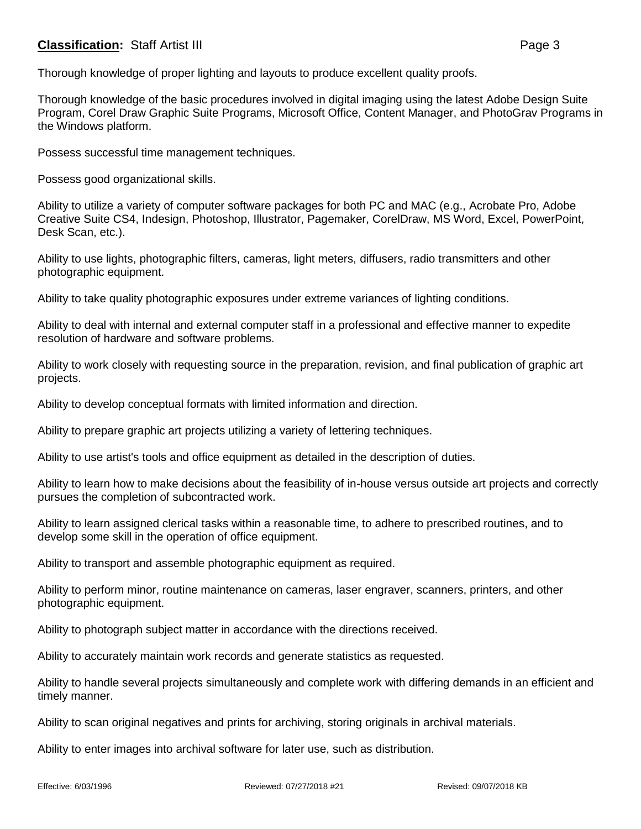## **Classification:** Staff Artist III **Page 3**

Thorough knowledge of the basic procedures involved in digital imaging using the latest Adobe Design Suite Program, Corel Draw Graphic Suite Programs, Microsoft Office, Content Manager, and PhotoGrav Programs in the Windows platform.

Possess successful time management techniques.

Possess good organizational skills.

Ability to utilize a variety of computer software packages for both PC and MAC (e.g., Acrobate Pro, Adobe Creative Suite CS4, Indesign, Photoshop, Illustrator, Pagemaker, CorelDraw, MS Word, Excel, PowerPoint, Desk Scan, etc.).

Ability to use lights, photographic filters, cameras, light meters, diffusers, radio transmitters and other photographic equipment.

Ability to take quality photographic exposures under extreme variances of lighting conditions.

Ability to deal with internal and external computer staff in a professional and effective manner to expedite resolution of hardware and software problems.

Ability to work closely with requesting source in the preparation, revision, and final publication of graphic art projects.

Ability to develop conceptual formats with limited information and direction.

Ability to prepare graphic art projects utilizing a variety of lettering techniques.

Ability to use artist's tools and office equipment as detailed in the description of duties.

Ability to learn how to make decisions about the feasibility of in-house versus outside art projects and correctly pursues the completion of subcontracted work.

Ability to learn assigned clerical tasks within a reasonable time, to adhere to prescribed routines, and to develop some skill in the operation of office equipment.

Ability to transport and assemble photographic equipment as required.

Ability to perform minor, routine maintenance on cameras, laser engraver, scanners, printers, and other photographic equipment.

Ability to photograph subject matter in accordance with the directions received.

Ability to accurately maintain work records and generate statistics as requested.

Ability to handle several projects simultaneously and complete work with differing demands in an efficient and timely manner.

Ability to scan original negatives and prints for archiving, storing originals in archival materials.

Ability to enter images into archival software for later use, such as distribution.